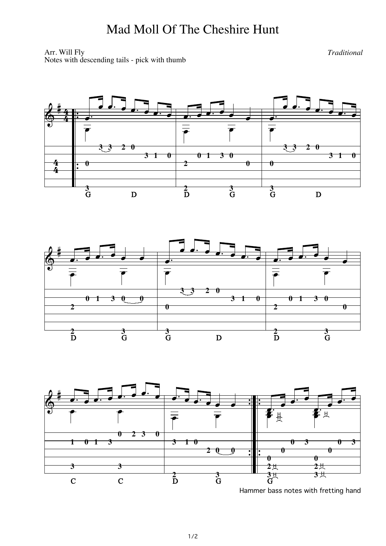## Mad Moll Of The Cheshire Hunt

Arr. Will Fly *Traditional* Notes with descending tails - pick with thumb

 $\frac{4}{4}$  $\frac{4}{4}$ 

&

Ï  $\frac{1}{\cdot}$ Ï  $\frac{1}{\cdot}$ #<br># 4<br>4  $\begin{array}{|c|c|} \hline \hline \hline \hline \hline \hline \hline \hline \hline \end{array}$ Ï. Ï  $\begin{array}{c} \hline \hline \hline \hline \hline \hline \hline \hline \end{array}$  $\begin{array}{c} \begin{array}{c} \hline \hline \hline \hline \hline \hline \hline \hline \hline \hline \end{array} \end{array}$ Ï. Ï  $\frac{1}{\overline{1}}$  $\frac{1}{\sqrt{2}}$ 4 Ï. <u>]</u><br>∣<br>F Ï **U**<br>I Ï **U** Ï  $\overline{\bullet}$ **3 3 2 0 3 3 2 0 0 3 1 0 0 1 3 3 1 0 0 2 0 0 3 3 3 2** G D D G G D





Hammer bass notes with fretting hand

1/2